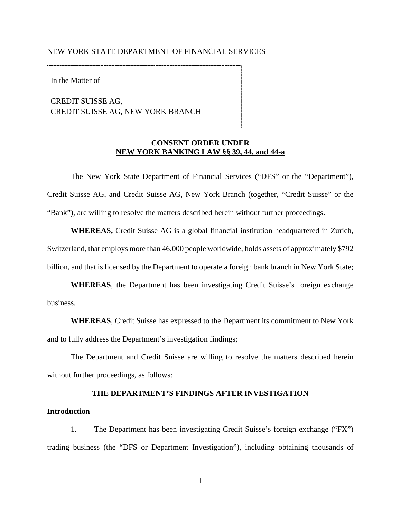# NEW YORK STATE DEPARTMENT OF FINANCIAL SERVICES

In the Matter of

CREDIT SUISSE AG, CREDIT SUISSE AG, NEW YORK BRANCH

# **CONSENT ORDER UNDER NEW YORK BANKING LAW §§ 39, 44, and 44-a**

The New York State Department of Financial Services ("DFS" or the "Department"), Credit Suisse AG, and Credit Suisse AG, New York Branch (together, "Credit Suisse" or the "Bank"), are willing to resolve the matters described herein without further proceedings.

**WHEREAS,** Credit Suisse AG is a global financial institution headquartered in Zurich, Switzerland, that employs more than 46,000 people worldwide, holds assets of approximately \$792 billion, and that is licensed by the Department to operate a foreign bank branch in New York State;

**WHEREAS**, the Department has been investigating Credit Suisse's foreign exchange business.

**WHEREAS**, Credit Suisse has expressed to the Department its commitment to New York and to fully address the Department's investigation findings;

The Department and Credit Suisse are willing to resolve the matters described herein without further proceedings, as follows:

### **THE DEPARTMENT'S FINDINGS AFTER INVESTIGATION**

### **Introduction**

1. The Department has been investigating Credit Suisse's foreign exchange ("FX") trading business (the "DFS or Department Investigation"), including obtaining thousands of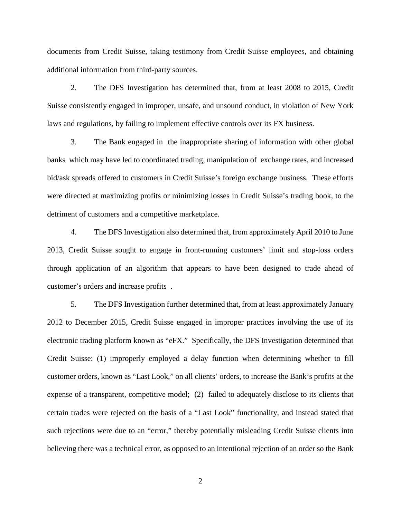documents from Credit Suisse, taking testimony from Credit Suisse employees, and obtaining additional information from third-party sources.

2. The DFS Investigation has determined that, from at least 2008 to 2015, Credit Suisse consistently engaged in improper, unsafe, and unsound conduct, in violation of New York laws and regulations, by failing to implement effective controls over its FX business.

3. The Bank engaged in the inappropriate sharing of information with other global banks which may have led to coordinated trading, manipulation of exchange rates, and increased bid/ask spreads offered to customers in Credit Suisse's foreign exchange business. These efforts were directed at maximizing profits or minimizing losses in Credit Suisse's trading book, to the detriment of customers and a competitive marketplace.

4. The DFS Investigation also determined that, from approximately April 2010 to June 2013, Credit Suisse sought to engage in front-running customers' limit and stop-loss orders through application of an algorithm that appears to have been designed to trade ahead of customer's orders and increase profits .

5. The DFS Investigation further determined that, from at least approximately January 2012 to December 2015, Credit Suisse engaged in improper practices involving the use of its electronic trading platform known as "eFX." Specifically, the DFS Investigation determined that Credit Suisse: (1) improperly employed a delay function when determining whether to fill customer orders, known as "Last Look," on all clients' orders, to increase the Bank's profits at the expense of a transparent, competitive model; (2) failed to adequately disclose to its clients that certain trades were rejected on the basis of a "Last Look" functionality, and instead stated that such rejections were due to an "error," thereby potentially misleading Credit Suisse clients into believing there was a technical error, as opposed to an intentional rejection of an order so the Bank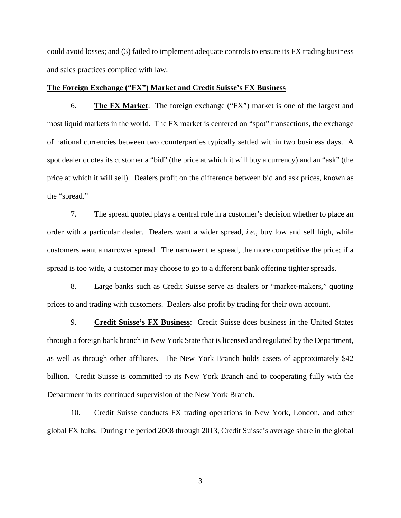could avoid losses; and (3) failed to implement adequate controls to ensure its FX trading business and sales practices complied with law.

## **The Foreign Exchange ("FX") Market and Credit Suisse's FX Business**

6. **The FX Market**: The foreign exchange ("FX") market is one of the largest and most liquid markets in the world. The FX market is centered on "spot" transactions, the exchange of national currencies between two counterparties typically settled within two business days. A spot dealer quotes its customer a "bid" (the price at which it will buy a currency) and an "ask" (the price at which it will sell). Dealers profit on the difference between bid and ask prices, known as the "spread."

7. The spread quoted plays a central role in a customer's decision whether to place an order with a particular dealer. Dealers want a wider spread, *i.e.,* buy low and sell high, while customers want a narrower spread. The narrower the spread, the more competitive the price; if a spread is too wide, a customer may choose to go to a different bank offering tighter spreads.

8. Large banks such as Credit Suisse serve as dealers or "market-makers," quoting prices to and trading with customers. Dealers also profit by trading for their own account.

9. **Credit Suisse's FX Business**: Credit Suisse does business in the United States through a foreign bank branch in New York State that is licensed and regulated by the Department, as well as through other affiliates. The New York Branch holds assets of approximately \$42 billion. Credit Suisse is committed to its New York Branch and to cooperating fully with the Department in its continued supervision of the New York Branch.

10. Credit Suisse conducts FX trading operations in New York, London, and other global FX hubs. During the period 2008 through 2013, Credit Suisse's average share in the global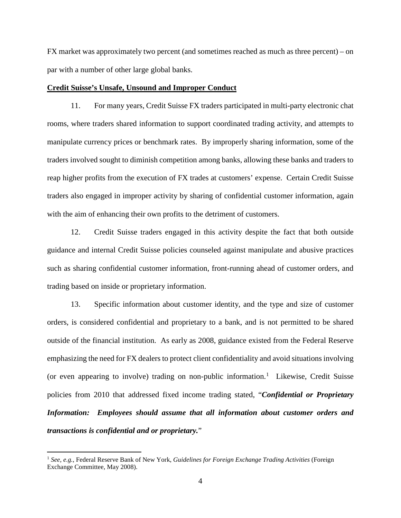FX market was approximately two percent (and sometimes reached as much as three percent) – on par with a number of other large global banks.

## **Credit Suisse's Unsafe, Unsound and Improper Conduct**

11. For many years, Credit Suisse FX traders participated in multi-party electronic chat rooms, where traders shared information to support coordinated trading activity, and attempts to manipulate currency prices or benchmark rates. By improperly sharing information, some of the traders involved sought to diminish competition among banks, allowing these banks and traders to reap higher profits from the execution of FX trades at customers' expense. Certain Credit Suisse traders also engaged in improper activity by sharing of confidential customer information, again with the aim of enhancing their own profits to the detriment of customers.

12. Credit Suisse traders engaged in this activity despite the fact that both outside guidance and internal Credit Suisse policies counseled against manipulate and abusive practices such as sharing confidential customer information, front-running ahead of customer orders, and trading based on inside or proprietary information.

13. Specific information about customer identity, and the type and size of customer orders, is considered confidential and proprietary to a bank, and is not permitted to be shared outside of the financial institution. As early as 2008, guidance existed from the Federal Reserve emphasizing the need for FX dealers to protect client confidentiality and avoid situations involving (or even appearing to involve) trading on non-public information.<sup>[1](#page-3-0)</sup> Likewise, Credit Suisse policies from 2010 that addressed fixed income trading stated, "*Confidential or Proprietary Information: Employees should assume that all information about customer orders and transactions is confidential and or proprietary.*"

<span id="page-3-0"></span> <sup>1</sup> *See, e.g.*, Federal Reserve Bank of New York, *Guidelines for Foreign Exchange Trading Activities* (Foreign Exchange Committee, May 2008).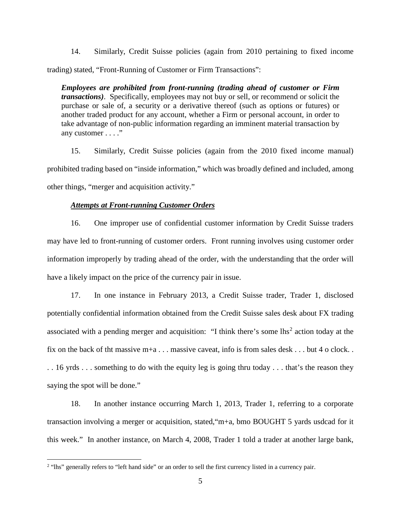14. Similarly, Credit Suisse policies (again from 2010 pertaining to fixed income trading) stated, "Front-Running of Customer or Firm Transactions":

*Employees are prohibited from front-running (trading ahead of customer or Firm transactions)*. Specifically, employees may not buy or sell, or recommend or solicit the purchase or sale of, a security or a derivative thereof (such as options or futures) or another traded product for any account, whether a Firm or personal account, in order to take advantage of non-public information regarding an imminent material transaction by any customer . . . ."

15. Similarly, Credit Suisse policies (again from the 2010 fixed income manual) prohibited trading based on "inside information," which was broadly defined and included, among other things, "merger and acquisition activity."

# *Attempts at Front-running Customer Orders*

16. One improper use of confidential customer information by Credit Suisse traders may have led to front-running of customer orders. Front running involves using customer order information improperly by trading ahead of the order, with the understanding that the order will have a likely impact on the price of the currency pair in issue.

17. In one instance in February 2013, a Credit Suisse trader, Trader 1, disclosed potentially confidential information obtained from the Credit Suisse sales desk about FX trading associated with a pending merger and acquisition: "I think there's some  $\ln s^2$  $\ln s^2$  action today at the fix on the back of tht massive  $m+a$ ... massive caveat, info is from sales desk... but 4 o clock.. . . 16 yrds . . . something to do with the equity leg is going thru today . . . that's the reason they saying the spot will be done."

18. In another instance occurring March 1, 2013, Trader 1, referring to a corporate transaction involving a merger or acquisition, stated,"m+a, bmo BOUGHT 5 yards usdcad for it this week." In another instance, on March 4, 2008, Trader 1 told a trader at another large bank,

<span id="page-4-0"></span><sup>&</sup>lt;sup>2</sup> "lhs" generally refers to "left hand side" or an order to sell the first currency listed in a currency pair.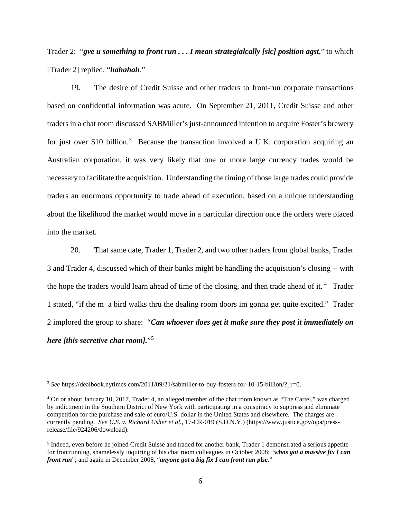Trader 2: "*gve u something to front run . . . I mean strategialcally [sic] position agst*," to which [Trader 2] replied, "*hahahah*."

19. The desire of Credit Suisse and other traders to front-run corporate transactions based on confidential information was acute. On September 21, 2011, Credit Suisse and other traders in a chat room discussed SABMiller's just-announced intention to acquire Foster's brewery for just over \$10 billion.<sup>[3](#page-5-0)</sup> Because the transaction involved a U.K. corporation acquiring an Australian corporation, it was very likely that one or more large currency trades would be necessary to facilitate the acquisition. Understanding the timing of those large trades could provide traders an enormous opportunity to trade ahead of execution, based on a unique understanding about the likelihood the market would move in a particular direction once the orders were placed into the market.

20. That same date, Trader 1, Trader 2, and two other traders from global banks, Trader 3 and Trader 4, discussed which of their banks might be handling the acquisition's closing -- with the hope the traders would learn ahead of time of the closing, and then trade ahead of it.<sup>[4](#page-5-1)</sup> Trader 1 stated, "if the m+a bird walks thru the dealing room doors im gonna get quite excited." Trader 2 implored the group to share: "*Can whoever does get it make sure they post it immediately on here [this secretive chat room].*"[5](#page-5-2)

<span id="page-5-0"></span><sup>&</sup>lt;sup>3</sup> See https://dealbook.nytimes.com/2011/09/21/sabmiller-to-buy-fosters-for-10-15-billion/? r=0.

<span id="page-5-1"></span><sup>4</sup> On or about January 10, 2017, Trader 4, an alleged member of the chat room known as "The Cartel," was charged by indictment in the Southern District of New York with participating in a conspiracy to suppress and eliminate competition for the purchase and sale of euro/U.S. dollar in the United States and elsewhere. The charges are currently pending. *See U.S. v. Richard Usher et al.*, 17-CR-019 (S.D.N.Y.) (https://www.justice.gov/opa/pressrelease/file/924206/download).

<span id="page-5-2"></span><sup>5</sup> Indeed, even before he joined Credit Suisse and traded for another bank, Trader 1 demonstrated a serious appetite for frontrunning, shamelessly inquiring of his chat room colleagues in October 2008: "*whos got a massive fix I can front run*"; and again in December 2008, "*anyone got a big fix I can front run plse*."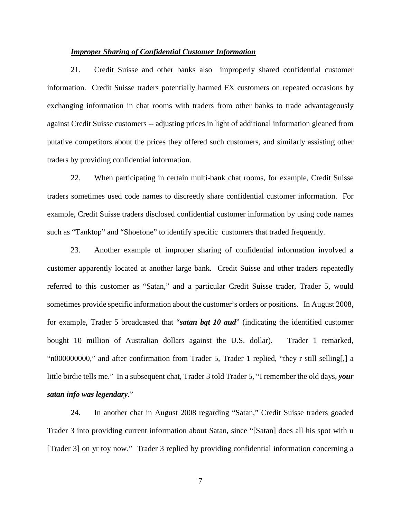## *Improper Sharing of Confidential Customer Information*

21. Credit Suisse and other banks also improperly shared confidential customer information. Credit Suisse traders potentially harmed FX customers on repeated occasions by exchanging information in chat rooms with traders from other banks to trade advantageously against Credit Suisse customers -- adjusting prices in light of additional information gleaned from putative competitors about the prices they offered such customers, and similarly assisting other traders by providing confidential information.

22. When participating in certain multi-bank chat rooms, for example, Credit Suisse traders sometimes used code names to discreetly share confidential customer information. For example, Credit Suisse traders disclosed confidential customer information by using code names such as "Tanktop" and "Shoefone" to identify specific customers that traded frequently.

23. Another example of improper sharing of confidential information involved a customer apparently located at another large bank. Credit Suisse and other traders repeatedly referred to this customer as "Satan," and a particular Credit Suisse trader, Trader 5, would sometimes provide specific information about the customer's orders or positions. In August 2008, for example, Trader 5 broadcasted that "*satan bgt 10 aud*" (indicating the identified customer bought 10 million of Australian dollars against the U.S. dollar). Trader 1 remarked, "n000000000," and after confirmation from Trader 5, Trader 1 replied, "they r still selling[,] a little birdie tells me." In a subsequent chat, Trader 3 told Trader 5, "I remember the old days, *your satan info was legendary*."

24. In another chat in August 2008 regarding "Satan," Credit Suisse traders goaded Trader 3 into providing current information about Satan, since "[Satan] does all his spot with u [Trader 3] on yr toy now." Trader 3 replied by providing confidential information concerning a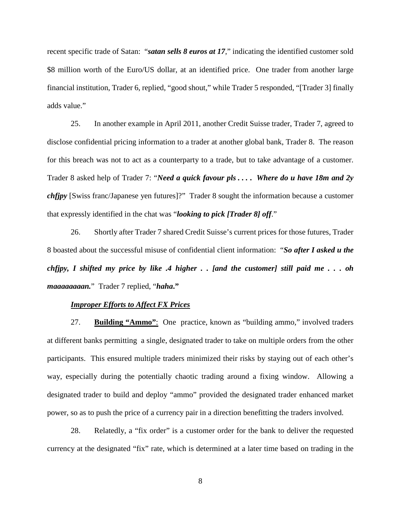recent specific trade of Satan: "*satan sells 8 euros at 17*," indicating the identified customer sold \$8 million worth of the Euro/US dollar, at an identified price. One trader from another large financial institution, Trader 6, replied, "good shout," while Trader 5 responded, "[Trader 3] finally adds value."

25. In another example in April 2011, another Credit Suisse trader, Trader 7, agreed to disclose confidential pricing information to a trader at another global bank, Trader 8. The reason for this breach was not to act as a counterparty to a trade, but to take advantage of a customer. Trader 8 asked help of Trader 7: "*Need a quick favour pls . . . . Where do u have 18m and 2y chfjpy* [Swiss franc/Japanese yen futures]?" Trader 8 sought the information because a customer that expressly identified in the chat was "*looking to pick [Trader 8] off*."

26. Shortly after Trader 7 shared Credit Suisse's current prices for those futures, Trader 8 boasted about the successful misuse of confidential client information: "*So after I asked u the chfjpy, I shifted my price by like .4 higher . . [and the customer] still paid me . . . oh maaaaaaaan.*" Trader 7 replied, "*haha***."**

### *Improper Efforts to Affect FX Prices*

27. **Building "Ammo"**: One practice, known as "building ammo," involved traders at different banks permitting a single, designated trader to take on multiple orders from the other participants. This ensured multiple traders minimized their risks by staying out of each other's way, especially during the potentially chaotic trading around a fixing window. Allowing a designated trader to build and deploy "ammo" provided the designated trader enhanced market power, so as to push the price of a currency pair in a direction benefitting the traders involved.

28. Relatedly, a "fix order" is a customer order for the bank to deliver the requested currency at the designated "fix" rate, which is determined at a later time based on trading in the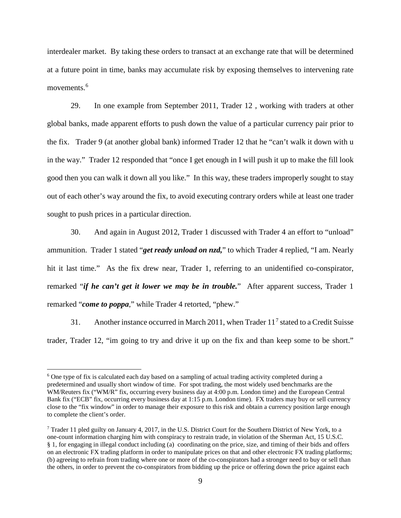interdealer market. By taking these orders to transact at an exchange rate that will be determined at a future point in time, banks may accumulate risk by exposing themselves to intervening rate movements.<sup>[6](#page-8-0)</sup>

29. In one example from September 2011, Trader 12 , working with traders at other global banks, made apparent efforts to push down the value of a particular currency pair prior to the fix. Trader 9 (at another global bank) informed Trader 12 that he "can't walk it down with u in the way." Trader 12 responded that "once I get enough in I will push it up to make the fill look good then you can walk it down all you like." In this way, these traders improperly sought to stay out of each other's way around the fix, to avoid executing contrary orders while at least one trader sought to push prices in a particular direction.

30. And again in August 2012, Trader 1 discussed with Trader 4 an effort to "unload" ammunition. Trader 1 stated "*get ready unload on nzd,*" to which Trader 4 replied, "I am. Nearly hit it last time." As the fix drew near, Trader 1, referring to an unidentified co-conspirator, remarked "*if he can't get it lower we may be in trouble.*" After apparent success, Trader 1 remarked "*come to poppa*," while Trader 4 retorted, "phew."

31. Another instance occurred in March 2011, when Trader  $11<sup>7</sup>$  $11<sup>7</sup>$  $11<sup>7</sup>$  stated to a Credit Suisse trader, Trader 12, "im going to try and drive it up on the fix and than keep some to be short."

<span id="page-8-0"></span> <sup>6</sup> One type of fix is calculated each day based on a sampling of actual trading activity completed during a predetermined and usually short window of time. For spot trading, the most widely used benchmarks are the WM/Reuters fix ("WM/R" fix, occurring every business day at 4:00 p.m. London time) and the European Central Bank fix ("ECB" fix, occurring every business day at 1:15 p.m. London time). FX traders may buy or sell currency close to the "fix window" in order to manage their exposure to this risk and obtain a currency position large enough to complete the client's order.

<span id="page-8-1"></span> $7$  Trader 11 pled guilty on January 4, 2017, in the U.S. District Court for the Southern District of New York, to a one-count information charging him with conspiracy to restrain trade, in violation of the Sherman Act, 15 U.S.C. § 1, for engaging in illegal conduct including (a) coordinating on the price, size, and timing of their bids and offers on an electronic FX trading platform in order to manipulate prices on that and other electronic FX trading platforms; (b) agreeing to refrain from trading where one or more of the co-conspirators had a stronger need to buy or sell than the others, in order to prevent the co-conspirators from bidding up the price or offering down the price against each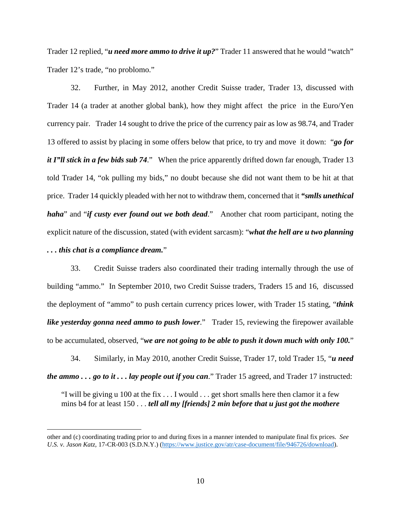Trader 12 replied, "*u need more ammo to drive it up?*" Trader 11 answered that he would "watch" Trader 12's trade, "no problomo."

32. Further, in May 2012, another Credit Suisse trader, Trader 13, discussed with Trader 14 (a trader at another global bank), how they might affect the price in the Euro/Yen currency pair. Trader 14 sought to drive the price of the currency pair as low as 98.74, and Trader 13 offered to assist by placing in some offers below that price, to try and move it down: "*go for it I"ll stick in a few bids sub 74.*" When the price apparently drifted down far enough, Trader 13 told Trader 14, "ok pulling my bids," no doubt because she did not want them to be hit at that price. Trader 14 quickly pleaded with her not to withdraw them, concerned that it *"smlls unethical haha*" and "*if custy ever found out we both dead*." Another chat room participant, noting the explicit nature of the discussion, stated (with evident sarcasm): "*what the hell are u two planning . . . this chat is a compliance dream.*"

33. Credit Suisse traders also coordinated their trading internally through the use of building "ammo." In September 2010, two Credit Suisse traders, Traders 15 and 16, discussed the deployment of "ammo" to push certain currency prices lower, with Trader 15 stating, "*think like yesterday gonna need ammo to push lower*." Trader 15, reviewing the firepower available to be accumulated, observed, "*we are not going to be able to push it down much with only 100.*"

34. Similarly, in May 2010, another Credit Suisse, Trader 17, told Trader 15, "*u need the ammo . . . go to it . . . lay people out if you can*." Trader 15 agreed, and Trader 17 instructed:

"I will be giving u 100 at the fix  $\dots$  I would  $\dots$  get short smalls here then clamor it a few mins b4 for at least 150 . . . *tell all my [friends] 2 min before that u just got the mothere* 

other and (c) coordinating trading prior to and during fixes in a manner intended to manipulate final fix prices. *See U.S. v. Jason Katz,* 17-CR-003 (S.D.N.Y.) [\(https://www.justice.gov/atr/case-document/file/946726/download\)](https://www.justice.gov/atr/case-document/file/946726/download).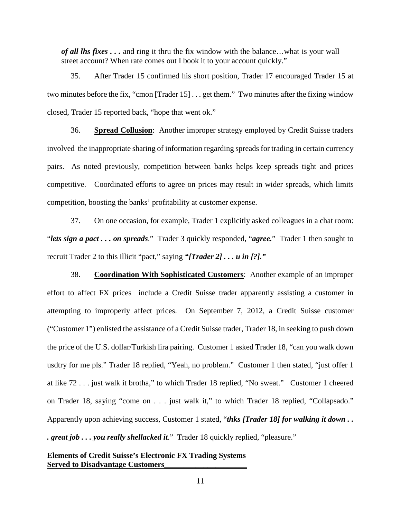*of all lhs fixes . . .* and ring it thru the fix window with the balance…what is your wall street account? When rate comes out I book it to your account quickly."

35. After Trader 15 confirmed his short position, Trader 17 encouraged Trader 15 at two minutes before the fix, "cmon [Trader 15] . . . get them." Two minutes after the fixing window closed, Trader 15 reported back, "hope that went ok."

36. **Spread Collusion**: Another improper strategy employed by Credit Suisse traders involved the inappropriate sharing of information regarding spreads for trading in certain currency pairs. As noted previously, competition between banks helps keep spreads tight and prices competitive. Coordinated efforts to agree on prices may result in wider spreads, which limits competition, boosting the banks' profitability at customer expense.

37. On one occasion, for example, Trader 1 explicitly asked colleagues in a chat room: "*lets sign a pact . . . on spreads*." Trader 3 quickly responded, "*agree.*" Trader 1 then sought to recruit Trader 2 to this illicit "pact," saying *"[Trader 2] . . . u in [?]."*

38. **Coordination With Sophisticated Customers**: Another example of an improper effort to affect FX prices include a Credit Suisse trader apparently assisting a customer in attempting to improperly affect prices. On September 7, 2012, a Credit Suisse customer ("Customer 1") enlisted the assistance of a Credit Suisse trader, Trader 18, in seeking to push down the price of the U.S. dollar/Turkish lira pairing. Customer 1 asked Trader 18, "can you walk down usdtry for me pls." Trader 18 replied, "Yeah, no problem." Customer 1 then stated, "just offer 1 at like 72 . . . just walk it brotha," to which Trader 18 replied, "No sweat." Customer 1 cheered on Trader 18, saying "come on . . . just walk it," to which Trader 18 replied, "Collapsado." Apparently upon achieving success, Customer 1 stated, "*thks [Trader 18] for walking it down . . . great job . . . you really shellacked it*." Trader 18 quickly replied, "pleasure."

# **Elements of Credit Suisse's Electronic FX Trading Systems Served to Disadvantage Customers\_\_\_\_\_\_\_\_\_\_\_\_\_\_\_\_\_\_\_\_\_**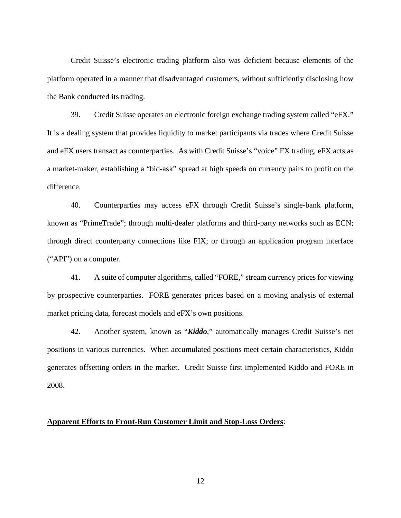Credit Suisse's electronic trading platform also was deficient because elements of the platform operated in a manner that disadvantaged customers, without sufficiently disclosing how the Bank conducted its trading.

39. Credit Suisse operates an electronic foreign exchange trading system called "eFX." It is a dealing system that provides liquidity to market participants via trades where Credit Suisse and eFX users transact as counterparties. As with Credit Suisse's "voice" FX trading, eFX acts as a market-maker, establishing a "bid-ask" spread at high speeds on currency pairs to profit on the difference.

40. Counterparties may access eFX through Credit Suisse's single-bank platform, known as "PrimeTrade"; through multi-dealer platforms and third-party networks such as ECN; through direct counterparty connections like FIX; or through an application program interface ("API") on a computer.

41. A suite of computer algorithms, called "FORE," stream currency prices for viewing by prospective counterparties. FORE generates prices based on a moving analysis of external market pricing data, forecast models and eFX's own positions.

42. Another system, known as "*Kiddo*," automatically manages Credit Suisse's net positions in various currencies. When accumulated positions meet certain characteristics, Kiddo generates offsetting orders in the market. Credit Suisse first implemented Kiddo and FORE in 2008.

## **Apparent Efforts to Front-Run Customer Limit and Stop-Loss Orders**: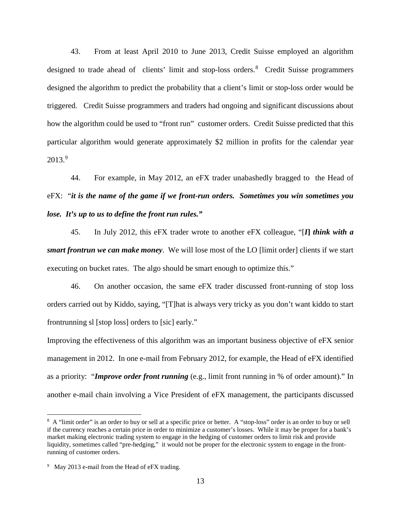43. From at least April 2010 to June 2013, Credit Suisse employed an algorithm designed to trade ahead of clients' limit and stop-loss orders.<sup>[8](#page-12-0)</sup> Credit Suisse programmers designed the algorithm to predict the probability that a client's limit or stop-loss order would be triggered. Credit Suisse programmers and traders had ongoing and significant discussions about how the algorithm could be used to "front run" customer orders. Credit Suisse predicted that this particular algorithm would generate approximately \$2 million in profits for the calendar year 2013.[9](#page-12-1)

44. For example, in May 2012, an eFX trader unabashedly bragged to the Head of eFX: "*it is the name of the game if we front-run orders. Sometimes you win sometimes you lose. It's up to us to define the front run rules."*

45. In July 2012, this eFX trader wrote to another eFX colleague, "[*I***]** *think with a smart frontrun we can make money*. We will lose most of the LO [limit order] clients if we start executing on bucket rates. The algo should be smart enough to optimize this."

46. On another occasion, the same eFX trader discussed front-running of stop loss orders carried out by Kiddo, saying, "[T]hat is always very tricky as you don't want kiddo to start frontrunning sl [stop loss] orders to [sic] early."

Improving the effectiveness of this algorithm was an important business objective of eFX senior management in 2012. In one e-mail from February 2012, for example, the Head of eFX identified as a priority: "*Improve order front running* (e.g., limit front running in % of order amount)." In another e-mail chain involving a Vice President of eFX management, the participants discussed

<span id="page-12-0"></span> $\frac{1}{8}$ <sup>8</sup> A "limit order" is an order to buy or sell at a specific price or better. A "stop-loss" order is an order to buy or sell if the currency reaches a certain price in order to minimize a customer's losses. While it may be proper for a bank's market making electronic trading system to engage in the hedging of customer orders to limit risk and provide liquidity, sometimes called "pre-hedging," it would not be proper for the electronic system to engage in the frontrunning of customer orders.

<span id="page-12-1"></span><sup>&</sup>lt;sup>9</sup> May 2013 e-mail from the Head of eFX trading.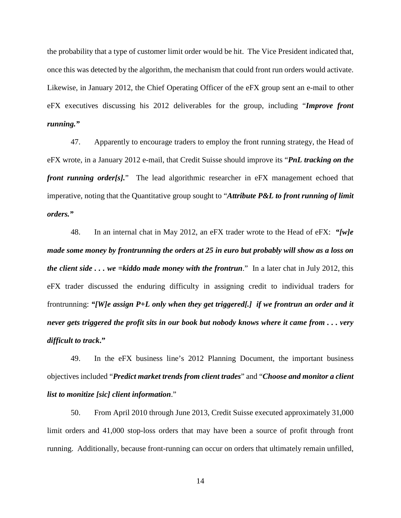the probability that a type of customer limit order would be hit. The Vice President indicated that, once this was detected by the algorithm, the mechanism that could front run orders would activate. Likewise, in January 2012, the Chief Operating Officer of the eFX group sent an e-mail to other eFX executives discussing his 2012 deliverables for the group, including "*Improve front running."*

47. Apparently to encourage traders to employ the front running strategy, the Head of eFX wrote, in a January 2012 e-mail, that Credit Suisse should improve its "*PnL tracking on the front running order[s].*" The lead algorithmic researcher in eFX management echoed that imperative, noting that the Quantitative group sought to "*Attribute P&L to front running of limit orders."*

48. In an internal chat in May 2012, an eFX trader wrote to the Head of eFX: *"[w]e made some money by frontrunning the orders at 25 in euro but probably will show as a loss on the client side . . . we =kiddo made money with the frontrun*." In a later chat in July 2012, this eFX trader discussed the enduring difficulty in assigning credit to individual traders for frontrunning: *"[W]e assign P+L only when they get triggered[.] if we frontrun an order and it never gets triggered the profit sits in our book but nobody knows where it came from . . . very difficult to track***."**

49. In the eFX business line's 2012 Planning Document, the important business objectives included "*Predict market trends from client trades*" and "*Choose and monitor a client list to monitize [sic] client information*."

50. From April 2010 through June 2013, Credit Suisse executed approximately 31,000 limit orders and 41,000 stop-loss orders that may have been a source of profit through front running. Additionally, because front-running can occur on orders that ultimately remain unfilled,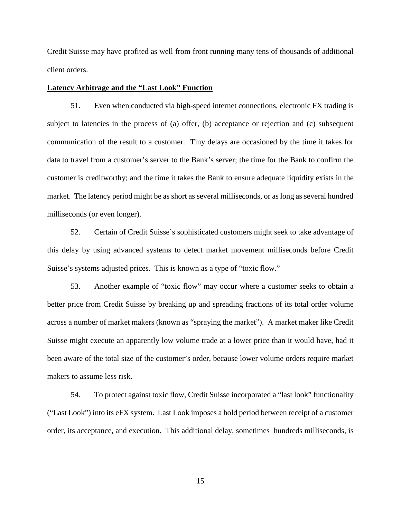Credit Suisse may have profited as well from front running many tens of thousands of additional client orders.

### **Latency Arbitrage and the "Last Look" Function**

51. Even when conducted via high-speed internet connections, electronic FX trading is subject to latencies in the process of (a) offer, (b) acceptance or rejection and (c) subsequent communication of the result to a customer. Tiny delays are occasioned by the time it takes for data to travel from a customer's server to the Bank's server; the time for the Bank to confirm the customer is creditworthy; and the time it takes the Bank to ensure adequate liquidity exists in the market. The latency period might be as short as several milliseconds, or as long as several hundred milliseconds (or even longer).

52. Certain of Credit Suisse's sophisticated customers might seek to take advantage of this delay by using advanced systems to detect market movement milliseconds before Credit Suisse's systems adjusted prices. This is known as a type of "toxic flow."

53. Another example of "toxic flow" may occur where a customer seeks to obtain a better price from Credit Suisse by breaking up and spreading fractions of its total order volume across a number of market makers (known as "spraying the market"). A market maker like Credit Suisse might execute an apparently low volume trade at a lower price than it would have, had it been aware of the total size of the customer's order, because lower volume orders require market makers to assume less risk.

54. To protect against toxic flow, Credit Suisse incorporated a "last look" functionality ("Last Look") into its eFX system. Last Look imposes a hold period between receipt of a customer order, its acceptance, and execution. This additional delay, sometimes hundreds milliseconds, is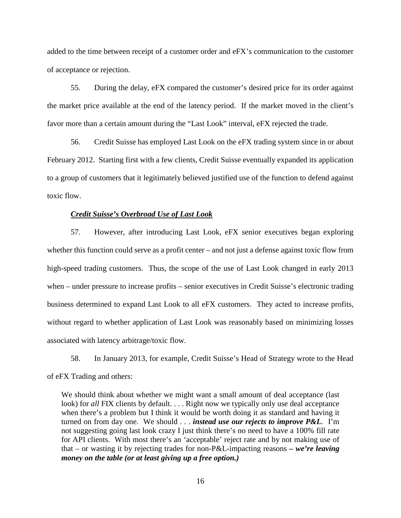added to the time between receipt of a customer order and eFX's communication to the customer of acceptance or rejection.

55. During the delay, eFX compared the customer's desired price for its order against the market price available at the end of the latency period. If the market moved in the client's favor more than a certain amount during the "Last Look" interval, eFX rejected the trade.

56. Credit Suisse has employed Last Look on the eFX trading system since in or about February 2012. Starting first with a few clients, Credit Suisse eventually expanded its application to a group of customers that it legitimately believed justified use of the function to defend against toxic flow.

### *Credit Suisse's Overbroad Use of Last Look*

57. However, after introducing Last Look, eFX senior executives began exploring whether this function could serve as a profit center – and not just a defense against toxic flow from high-speed trading customers. Thus, the scope of the use of Last Look changed in early 2013 when – under pressure to increase profits – senior executives in Credit Suisse's electronic trading business determined to expand Last Look to all eFX customers. They acted to increase profits, without regard to whether application of Last Look was reasonably based on minimizing losses associated with latency arbitrage/toxic flow.

58. In January 2013, for example, Credit Suisse's Head of Strategy wrote to the Head of eFX Trading and others:

We should think about whether we might want a small amount of deal acceptance (last look) for *all* FIX clients by default. . . . Right now we typically only use deal acceptance when there's a problem but I think it would be worth doing it as standard and having it turned on from day one. We should . . . *instead use our rejects to improve P&L.* I'm not suggesting going last look crazy I just think there's no need to have a 100% fill rate for API clients. With most there's an 'acceptable' reject rate and by not making use of that – or wasting it by rejecting trades for non-P&L-impacting reasons *– we're leaving money on the table (or at least giving up a free option.)*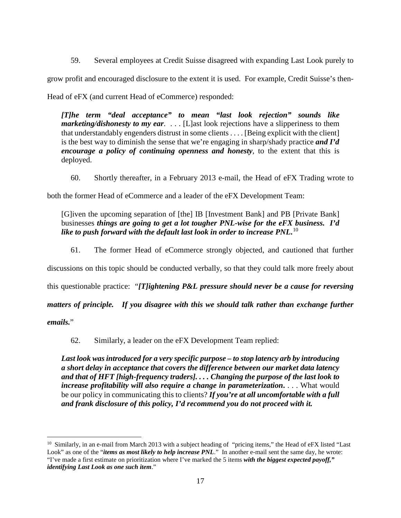59. Several employees at Credit Suisse disagreed with expanding Last Look purely to

grow profit and encouraged disclosure to the extent it is used. For example, Credit Suisse's then-

Head of eFX (and current Head of eCommerce) responded:

*[T]he term "deal acceptance" to mean "last look rejection" sounds like marketing/dishonesty to my ear.* . . . [L]ast look rejections have a slipperiness to them that understandably engenders distrust in some clients . . . . [Being explicit with the client] is the best way to diminish the sense that we're engaging in sharp/shady practice *and I'd encourage a policy of continuing openness and honesty*, to the extent that this is deployed.

60. Shortly thereafter, in a February 2013 e-mail, the Head of eFX Trading wrote to

both the former Head of eCommerce and a leader of the eFX Development Team:

[G]iven the upcoming separation of [the] IB [Investment Bank] and PB [Private Bank] businesses *things are going to get a lot tougher PNL-wise for the eFX business. I'd like to push forward with the default last look in order to increase PNL***.** [10](#page-16-0)

61. The former Head of eCommerce strongly objected, and cautioned that further

discussions on this topic should be conducted verbally, so that they could talk more freely about

this questionable practice: "*[T]ightening P&L pressure should never be a cause for reversing* 

*matters of principle.* If you disagree with this we should talk rather than exchange further

*emails.*"

62. Similarly, a leader on the eFX Development Team replied:

*Last look was introduced for a very specific purpose – to stop latency arb by introducing a short delay in acceptance that covers the difference between our market data latency and that of HFT [high-frequency traders]. . . . Changing the purpose of the last look to increase profitability will also require a change in parameterization***.** . . . What would be our policy in communicating this to clients? *If you're at all uncomfortable with a full and frank disclosure of this policy, I'd recommend you do not proceed with it.*

<span id="page-16-0"></span><sup>&</sup>lt;sup>10</sup> Similarly, in an e-mail from March 2013 with a subject heading of "pricing items," the Head of eFX listed "Last Look" as one of the "*items as most likely to help increase PNL*." In another e-mail sent the same day, he wrote: "I've made a first estimate on prioritization where I've marked the 5 items *with the biggest expected payoff," identifying Last Look as one such item*."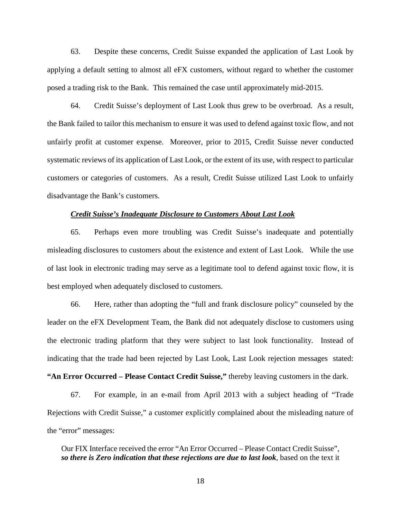63. Despite these concerns, Credit Suisse expanded the application of Last Look by applying a default setting to almost all eFX customers, without regard to whether the customer posed a trading risk to the Bank. This remained the case until approximately mid-2015.

64. Credit Suisse's deployment of Last Look thus grew to be overbroad. As a result, the Bank failed to tailor this mechanism to ensure it was used to defend against toxic flow, and not unfairly profit at customer expense. Moreover, prior to 2015, Credit Suisse never conducted systematic reviews of its application of Last Look, or the extent of its use, with respect to particular customers or categories of customers. As a result, Credit Suisse utilized Last Look to unfairly disadvantage the Bank's customers.

### *Credit Suisse's Inadequate Disclosure to Customers About Last Look*

65. Perhaps even more troubling was Credit Suisse's inadequate and potentially misleading disclosures to customers about the existence and extent of Last Look. While the use of last look in electronic trading may serve as a legitimate tool to defend against toxic flow, it is best employed when adequately disclosed to customers.

66. Here, rather than adopting the "full and frank disclosure policy" counseled by the leader on the eFX Development Team, the Bank did not adequately disclose to customers using the electronic trading platform that they were subject to last look functionality. Instead of indicating that the trade had been rejected by Last Look, Last Look rejection messages stated:

**"An Error Occurred – Please Contact Credit Suisse,"** thereby leaving customers in the dark.

67. For example, in an e-mail from April 2013 with a subject heading of "Trade Rejections with Credit Suisse," a customer explicitly complained about the misleading nature of the "error" messages:

Our FIX Interface received the error "An Error Occurred – Please Contact Credit Suisse", *so there is Zero indication that these rejections are due to last look*, based on the text it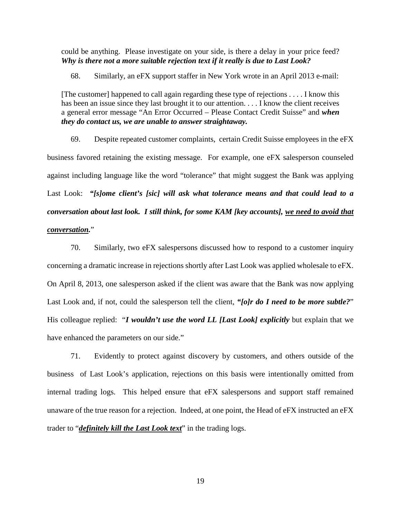# could be anything. Please investigate on your side, is there a delay in your price feed? *Why is there not a more suitable rejection text if it really is due to Last Look?*

68. Similarly, an eFX support staffer in New York wrote in an April 2013 e-mail:

[The customer] happened to call again regarding these type of rejections . . . . I know this has been an issue since they last brought it to our attention. . . . I know the client receives a general error message "An Error Occurred – Please Contact Credit Suisse" and *when they do contact us, we are unable to answer straightaway.*

69. Despite repeated customer complaints, certain Credit Suisse employees in the eFX business favored retaining the existing message. For example, one eFX salesperson counseled against including language like the word "tolerance" that might suggest the Bank was applying Last Look: *"[s]ome client's [sic] will ask what tolerance means and that could lead to a conversation about last look. I still think, for some KAM [key accounts], we need to avoid that conversation.*"

70. Similarly, two eFX salespersons discussed how to respond to a customer inquiry concerning a dramatic increase in rejections shortly after Last Look was applied wholesale to eFX. On April 8, 2013, one salesperson asked if the client was aware that the Bank was now applying Last Look and, if not, could the salesperson tell the client, *"[o]r do I need to be more subtle?*" His colleague replied: "*I wouldn't use the word LL [Last Look] explicitly* but explain that we have enhanced the parameters on our side."

71. Evidently to protect against discovery by customers, and others outside of the business of Last Look's application, rejections on this basis were intentionally omitted from internal trading logs. This helped ensure that eFX salespersons and support staff remained unaware of the true reason for a rejection. Indeed, at one point, the Head of eFX instructed an eFX trader to "*definitely kill the Last Look text*" in the trading logs.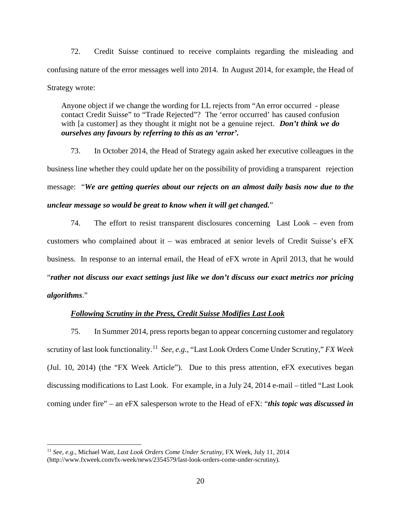72. Credit Suisse continued to receive complaints regarding the misleading and confusing nature of the error messages well into 2014. In August 2014, for example, the Head of Strategy wrote:

Anyone object if we change the wording for LL rejects from "An error occurred - please contact Credit Suisse" to "Trade Rejected"? The 'error occurred' has caused confusion with [a customer] as they thought it might not be a genuine reject. *Don't think we do ourselves any favours by referring to this as an 'error'.*

73. In October 2014, the Head of Strategy again asked her executive colleagues in the business line whether they could update her on the possibility of providing a transparent rejection message: "*We are getting queries about our rejects on an almost daily basis now due to the unclear message so would be great to know when it will get changed.*"

74. The effort to resist transparent disclosures concerning Last Look – even from customers who complained about it – was embraced at senior levels of Credit Suisse's eFX business. In response to an internal email, the Head of eFX wrote in April 2013, that he would "*rather not discuss our exact settings just like we don't discuss our exact metrics nor pricing algorithms*."

# *Following Scrutiny in the Press, Credit Suisse Modifies Last Look*

75. In Summer 2014, press reports began to appear concerning customer and regulatory scrutiny of last look functionality. [11](#page-19-0) *See, e.g.,* "Last Look Orders Come Under Scrutiny," *FX Week* (Jul. 10, 2014) (the "FX Week Article"). Due to this press attention, eFX executives began discussing modifications to Last Look. For example, in a July 24, 2014 e-mail – titled "Last Look coming under fire" – an eFX salesperson wrote to the Head of eFX: "*this topic was discussed in* 

<span id="page-19-0"></span> <sup>11</sup> *See, e.g.*, Michael Watt, *Last Look Orders Come Under Scrutiny*, FX Week, July 11, 2014 (http://www.fxweek.com/fx-week/news/2354579/last-look-orders-come-under-scrutiny).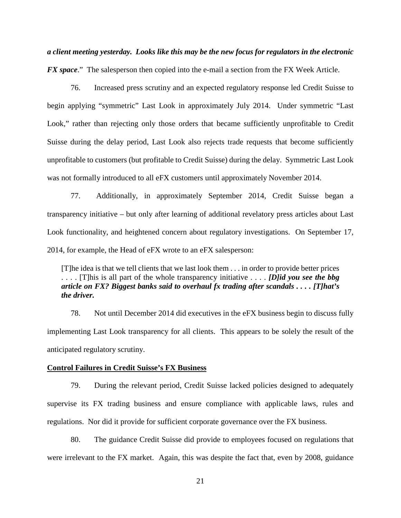*a client meeting yesterday. Looks like this may be the new focus for regulators in the electronic FX space*." The salesperson then copied into the e-mail a section from the FX Week Article.

76. Increased press scrutiny and an expected regulatory response led Credit Suisse to begin applying "symmetric" Last Look in approximately July 2014. Under symmetric "Last Look," rather than rejecting only those orders that became sufficiently unprofitable to Credit Suisse during the delay period, Last Look also rejects trade requests that become sufficiently unprofitable to customers (but profitable to Credit Suisse) during the delay. Symmetric Last Look was not formally introduced to all eFX customers until approximately November 2014.

77. Additionally, in approximately September 2014, Credit Suisse began a transparency initiative – but only after learning of additional revelatory press articles about Last Look functionality, and heightened concern about regulatory investigations. On September 17, 2014, for example, the Head of eFX wrote to an eFX salesperson:

[T]he idea is that we tell clients that we last look them . . . in order to provide better prices . . . . [T]his is all part of the whole transparency initiative . . . . *[D]id you see the bbg article on FX? Biggest banks said to overhaul fx trading after scandals . . . . [T]hat's the driver.* 

78. Not until December 2014 did executives in the eFX business begin to discuss fully implementing Last Look transparency for all clients. This appears to be solely the result of the anticipated regulatory scrutiny.

#### **Control Failures in Credit Suisse's FX Business**

79. During the relevant period, Credit Suisse lacked policies designed to adequately supervise its FX trading business and ensure compliance with applicable laws, rules and regulations. Nor did it provide for sufficient corporate governance over the FX business.

80. The guidance Credit Suisse did provide to employees focused on regulations that were irrelevant to the FX market. Again, this was despite the fact that, even by 2008, guidance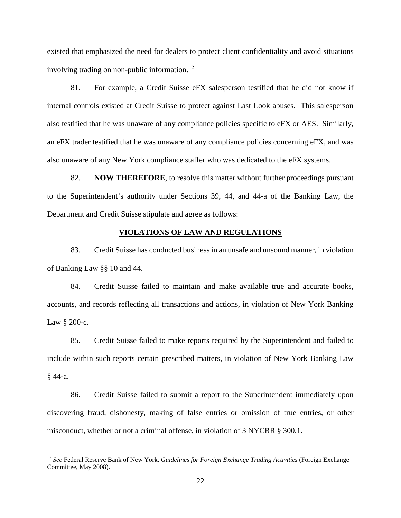existed that emphasized the need for dealers to protect client confidentiality and avoid situations involving trading on non-public information.<sup>[12](#page-21-0)</sup>

81. For example, a Credit Suisse eFX salesperson testified that he did not know if internal controls existed at Credit Suisse to protect against Last Look abuses. This salesperson also testified that he was unaware of any compliance policies specific to eFX or AES. Similarly, an eFX trader testified that he was unaware of any compliance policies concerning eFX, and was also unaware of any New York compliance staffer who was dedicated to the eFX systems.

82. **NOW THEREFORE**, to resolve this matter without further proceedings pursuant to the Superintendent's authority under Sections 39, 44, and 44-a of the Banking Law, the Department and Credit Suisse stipulate and agree as follows:

## **VIOLATIONS OF LAW AND REGULATIONS**

83. Credit Suisse has conducted business in an unsafe and unsound manner, in violation of Banking Law §§ 10 and 44.

84. Credit Suisse failed to maintain and make available true and accurate books, accounts, and records reflecting all transactions and actions, in violation of New York Banking Law § 200-c.

85. Credit Suisse failed to make reports required by the Superintendent and failed to include within such reports certain prescribed matters, in violation of New York Banking Law § 44-a.

86. Credit Suisse failed to submit a report to the Superintendent immediately upon discovering fraud, dishonesty, making of false entries or omission of true entries, or other misconduct, whether or not a criminal offense, in violation of 3 NYCRR § 300.1.

<span id="page-21-0"></span> <sup>12</sup> *See* Federal Reserve Bank of New York, *Guidelines for Foreign Exchange Trading Activities* (Foreign Exchange Committee, May 2008).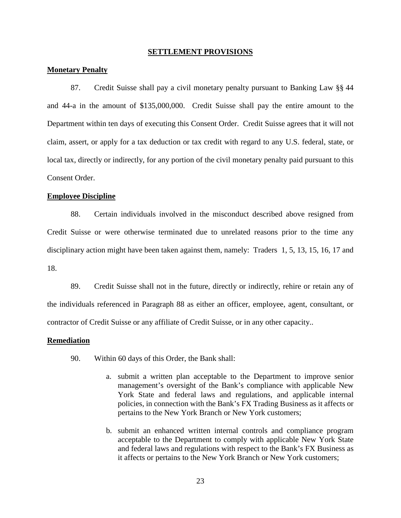#### **SETTLEMENT PROVISIONS**

### **Monetary Penalty**

87. Credit Suisse shall pay a civil monetary penalty pursuant to Banking Law §§ 44 and 44-a in the amount of \$135,000,000. Credit Suisse shall pay the entire amount to the Department within ten days of executing this Consent Order. Credit Suisse agrees that it will not claim, assert, or apply for a tax deduction or tax credit with regard to any U.S. federal, state, or local tax, directly or indirectly, for any portion of the civil monetary penalty paid pursuant to this Consent Order.

## **Employee Discipline**

88. Certain individuals involved in the misconduct described above resigned from Credit Suisse or were otherwise terminated due to unrelated reasons prior to the time any disciplinary action might have been taken against them, namely: Traders 1, 5, 13, 15, 16, 17 and 18.

89. Credit Suisse shall not in the future, directly or indirectly, rehire or retain any of the individuals referenced in Paragraph 88 as either an officer, employee, agent, consultant, or contractor of Credit Suisse or any affiliate of Credit Suisse, or in any other capacity..

#### **Remediation**

- 90. Within 60 days of this Order, the Bank shall:
	- a. submit a written plan acceptable to the Department to improve senior management's oversight of the Bank's compliance with applicable New York State and federal laws and regulations, and applicable internal policies, in connection with the Bank's FX Trading Business as it affects or pertains to the New York Branch or New York customers;
	- b. submit an enhanced written internal controls and compliance program acceptable to the Department to comply with applicable New York State and federal laws and regulations with respect to the Bank's FX Business as it affects or pertains to the New York Branch or New York customers;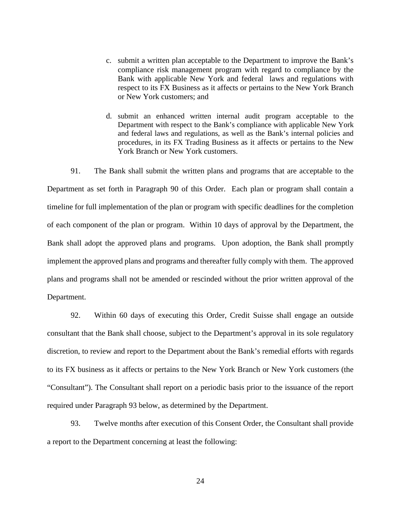- c. submit a written plan acceptable to the Department to improve the Bank's compliance risk management program with regard to compliance by the Bank with applicable New York and federal laws and regulations with respect to its FX Business as it affects or pertains to the New York Branch or New York customers; and
- d. submit an enhanced written internal audit program acceptable to the Department with respect to the Bank's compliance with applicable New York and federal laws and regulations, as well as the Bank's internal policies and procedures, in its FX Trading Business as it affects or pertains to the New York Branch or New York customers.

91. The Bank shall submit the written plans and programs that are acceptable to the Department as set forth in Paragraph 90 of this Order. Each plan or program shall contain a timeline for full implementation of the plan or program with specific deadlines for the completion of each component of the plan or program. Within 10 days of approval by the Department, the Bank shall adopt the approved plans and programs. Upon adoption, the Bank shall promptly implement the approved plans and programs and thereafter fully comply with them. The approved plans and programs shall not be amended or rescinded without the prior written approval of the Department.

92. Within 60 days of executing this Order, Credit Suisse shall engage an outside consultant that the Bank shall choose, subject to the Department's approval in its sole regulatory discretion, to review and report to the Department about the Bank's remedial efforts with regards to its FX business as it affects or pertains to the New York Branch or New York customers (the "Consultant"). The Consultant shall report on a periodic basis prior to the issuance of the report required under Paragraph 93 below, as determined by the Department.

93. Twelve months after execution of this Consent Order, the Consultant shall provide a report to the Department concerning at least the following: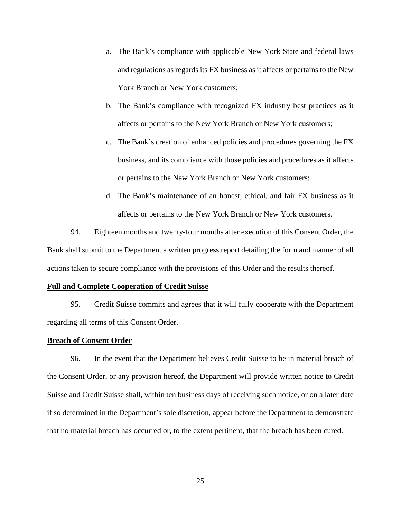- a. The Bank's compliance with applicable New York State and federal laws and regulations as regards its FX business as it affects or pertains to the New York Branch or New York customers;
- b. The Bank's compliance with recognized FX industry best practices as it affects or pertains to the New York Branch or New York customers;
- c. The Bank's creation of enhanced policies and procedures governing the FX business, and its compliance with those policies and procedures as it affects or pertains to the New York Branch or New York customers;
- d. The Bank's maintenance of an honest, ethical, and fair FX business as it affects or pertains to the New York Branch or New York customers.

94. Eighteen months and twenty-four months after execution of this Consent Order, the Bank shall submit to the Department a written progress report detailing the form and manner of all actions taken to secure compliance with the provisions of this Order and the results thereof.

#### **Full and Complete Cooperation of Credit Suisse**

95. Credit Suisse commits and agrees that it will fully cooperate with the Department regarding all terms of this Consent Order.

### **Breach of Consent Order**

96. In the event that the Department believes Credit Suisse to be in material breach of the Consent Order, or any provision hereof, the Department will provide written notice to Credit Suisse and Credit Suisse shall, within ten business days of receiving such notice, or on a later date if so determined in the Department's sole discretion, appear before the Department to demonstrate that no material breach has occurred or, to the extent pertinent, that the breach has been cured.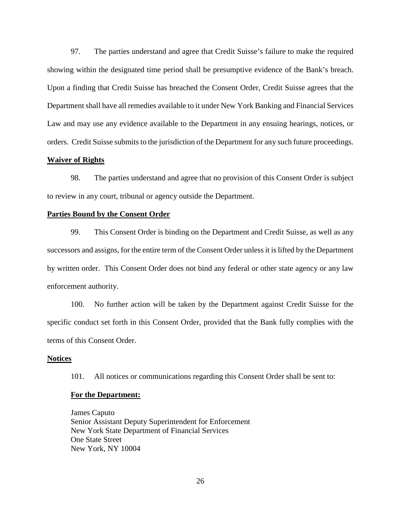97. The parties understand and agree that Credit Suisse's failure to make the required showing within the designated time period shall be presumptive evidence of the Bank's breach. Upon a finding that Credit Suisse has breached the Consent Order, Credit Suisse agrees that the Department shall have all remedies available to it under New York Banking and Financial Services Law and may use any evidence available to the Department in any ensuing hearings, notices, or orders. Credit Suisse submits to the jurisdiction of the Department for any such future proceedings.

# **Waiver of Rights**

98. The parties understand and agree that no provision of this Consent Order is subject to review in any court, tribunal or agency outside the Department.

### **Parties Bound by the Consent Order**

99. This Consent Order is binding on the Department and Credit Suisse, as well as any successors and assigns, for the entire term of the Consent Order unless it is lifted by the Department by written order. This Consent Order does not bind any federal or other state agency or any law enforcement authority.

100. No further action will be taken by the Department against Credit Suisse for the specific conduct set forth in this Consent Order, provided that the Bank fully complies with the terms of this Consent Order.

#### **Notices**

101. All notices or communications regarding this Consent Order shall be sent to:

#### **For the Department:**

James Caputo Senior Assistant Deputy Superintendent for Enforcement New York State Department of Financial Services One State Street New York, NY 10004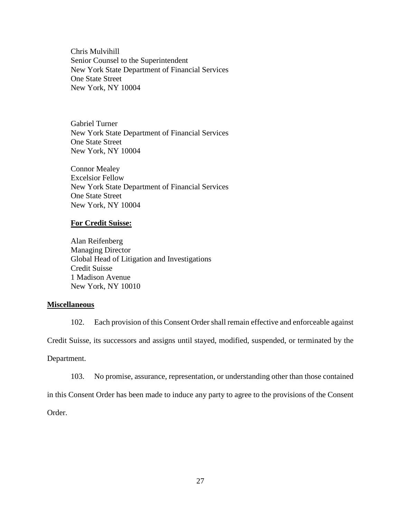Chris Mulvihill Senior Counsel to the Superintendent New York State Department of Financial Services One State Street New York, NY 10004

Gabriel Turner New York State Department of Financial Services One State Street New York, NY 10004

Connor Mealey Excelsior Fellow New York State Department of Financial Services One State Street New York, NY 10004

## **For Credit Suisse:**

Alan Reifenberg Managing Director Global Head of Litigation and Investigations Credit Suisse 1 Madison Avenue New York, NY 10010

### **Miscellaneous**

102. Each provision of this Consent Order shall remain effective and enforceable against

Credit Suisse, its successors and assigns until stayed, modified, suspended, or terminated by the

Department.

103. No promise, assurance, representation, or understanding other than those contained

in this Consent Order has been made to induce any party to agree to the provisions of the Consent

Order.